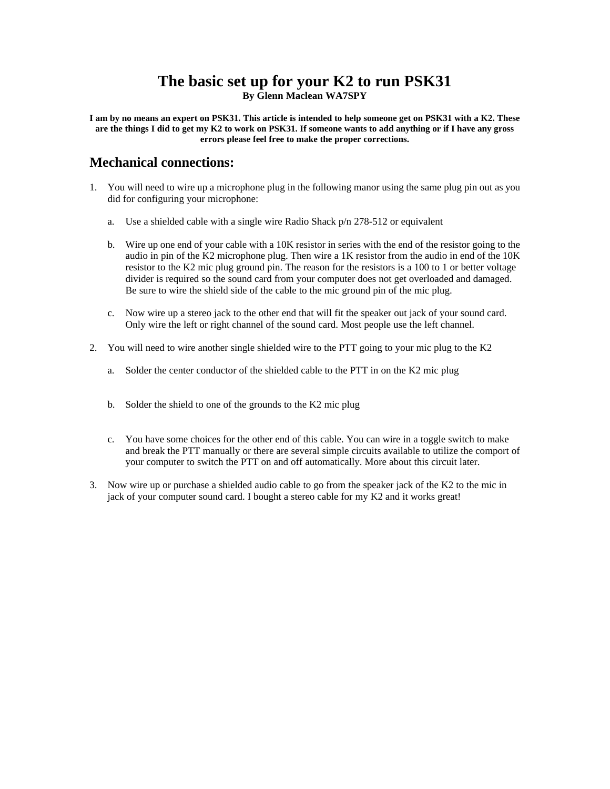# **The basic set up for your K2 to run PSK31**

**By Glenn Maclean WA7SPY**

**I am by no means an expert on PSK31. This article is intended to help someone get on PSK31 with a K2. These are the things I did to get my K2 to work on PSK31. If someone wants to add anything or if I have any gross errors please feel free to make the proper corrections.**

#### **Mechanical connections:**

- 1. You will need to wire up a microphone plug in the following manor using the same plug pin out as you did for configuring your microphone:
	- a. Use a shielded cable with a single wire Radio Shack p/n 278-512 or equivalent
	- b. Wire up one end of your cable with a 10K resistor in series with the end of the resistor going to the audio in pin of the K2 microphone plug. Then wire a 1K resistor from the audio in end of the 10K resistor to the K2 mic plug ground pin. The reason for the resistors is a 100 to 1 or better voltage divider is required so the sound card from your computer does not get overloaded and damaged. Be sure to wire the shield side of the cable to the mic ground pin of the mic plug.
	- c. Now wire up a stereo jack to the other end that will fit the speaker out jack of your sound card. Only wire the left or right channel of the sound card. Most people use the left channel.
- 2. You will need to wire another single shielded wire to the PTT going to your mic plug to the K2
	- a. Solder the center conductor of the shielded cable to the PTT in on the K2 mic plug
	- b. Solder the shield to one of the grounds to the K2 mic plug
	- c. You have some choices for the other end of this cable. You can wire in a toggle switch to make and break the PTT manually or there are several simple circuits available to utilize the comport of your computer to switch the PTT on and off automatically. More about this circuit later.
- 3. Now wire up or purchase a shielded audio cable to go from the speaker jack of the K2 to the mic in jack of your computer sound card. I bought a stereo cable for my K2 and it works great!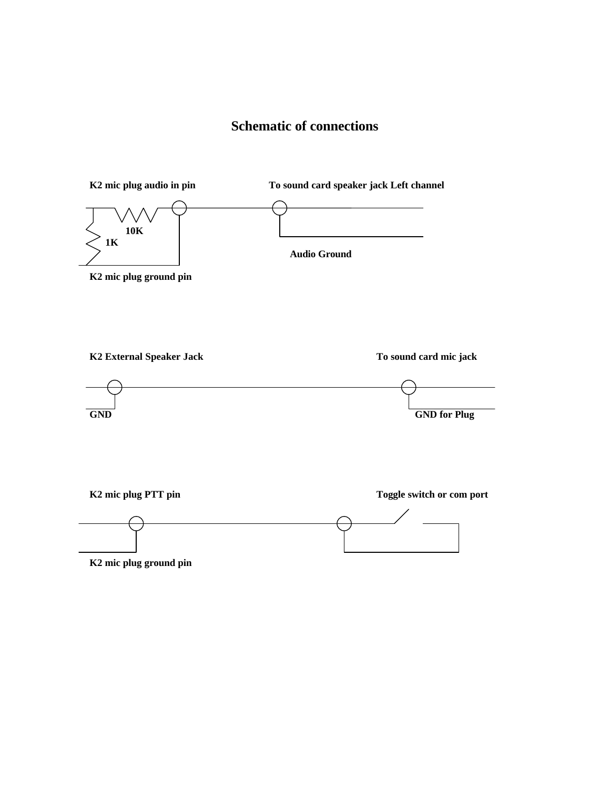## **Schematic of connections**

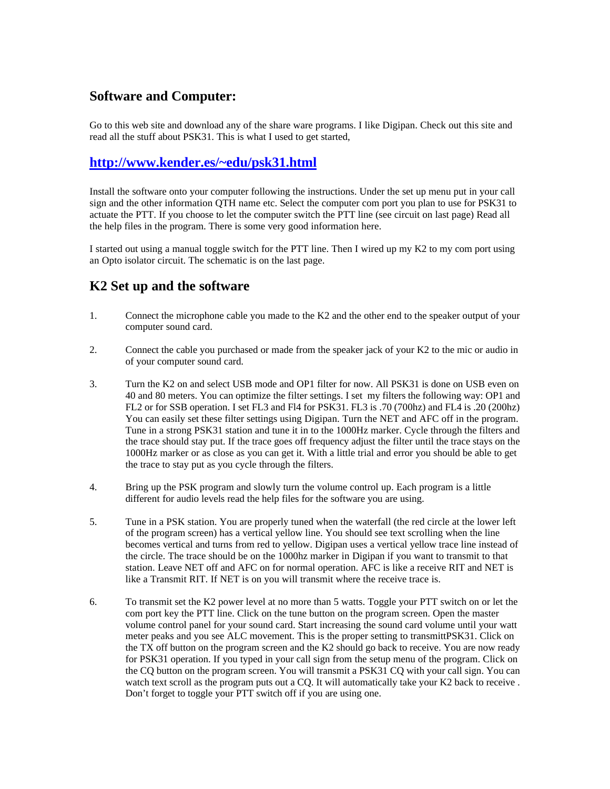### **Software and Computer:**

Go to this web site and download any of the share ware programs. I like Digipan. Check out this site and read all the stuff about PSK31. This is what I used to get started,

#### **http://www.kender.es/~edu/psk31.html**

Install the software onto your computer following the instructions. Under the set up menu put in your call sign and the other information QTH name etc. Select the computer com port you plan to use for PSK31 to actuate the PTT. If you choose to let the computer switch the PTT line (see circuit on last page) Read all the help files in the program. There is some very good information here.

I started out using a manual toggle switch for the PTT line. Then I wired up my K2 to my com port using an Opto isolator circuit. The schematic is on the last page.

## **K2 Set up and the software**

- 1. Connect the microphone cable you made to the K2 and the other end to the speaker output of your computer sound card.
- 2. Connect the cable you purchased or made from the speaker jack of your K2 to the mic or audio in of your computer sound card.
- 3. Turn the K2 on and select USB mode and OP1 filter for now. All PSK31 is done on USB even on 40 and 80 meters. You can optimize the filter settings. I set my filters the following way: OP1 and FL2 or for SSB operation. I set FL3 and Fl4 for PSK31. FL3 is .70 (700hz) and FL4 is .20 (200hz) You can easily set these filter settings using Digipan. Turn the NET and AFC off in the program. Tune in a strong PSK31 station and tune it in to the 1000Hz marker. Cycle through the filters and the trace should stay put. If the trace goes off frequency adjust the filter until the trace stays on the 1000Hz marker or as close as you can get it. With a little trial and error you should be able to get the trace to stay put as you cycle through the filters.
- 4. Bring up the PSK program and slowly turn the volume control up. Each program is a little different for audio levels read the help files for the software you are using.
- 5. Tune in a PSK station. You are properly tuned when the waterfall (the red circle at the lower left of the program screen) has a vertical yellow line. You should see text scrolling when the line becomes vertical and turns from red to yellow. Digipan uses a vertical yellow trace line instead of the circle. The trace should be on the 1000hz marker in Digipan if you want to transmit to that station. Leave NET off and AFC on for normal operation. AFC is like a receive RIT and NET is like a Transmit RIT. If NET is on you will transmit where the receive trace is.
- 6. To transmit set the K2 power level at no more than 5 watts. Toggle your PTT switch on or let the com port key the PTT line. Click on the tune button on the program screen. Open the master volume control panel for your sound card. Start increasing the sound card volume until your watt meter peaks and you see ALC movement. This is the proper setting to transmittPSK31. Click on the TX off button on the program screen and the K2 should go back to receive. You are now ready for PSK31 operation. If you typed in your call sign from the setup menu of the program. Click on the CQ button on the program screen. You will transmit a PSK31 CQ with your call sign. You can watch text scroll as the program puts out a CQ. It will automatically take your K2 back to receive. Don't forget to toggle your PTT switch off if you are using one.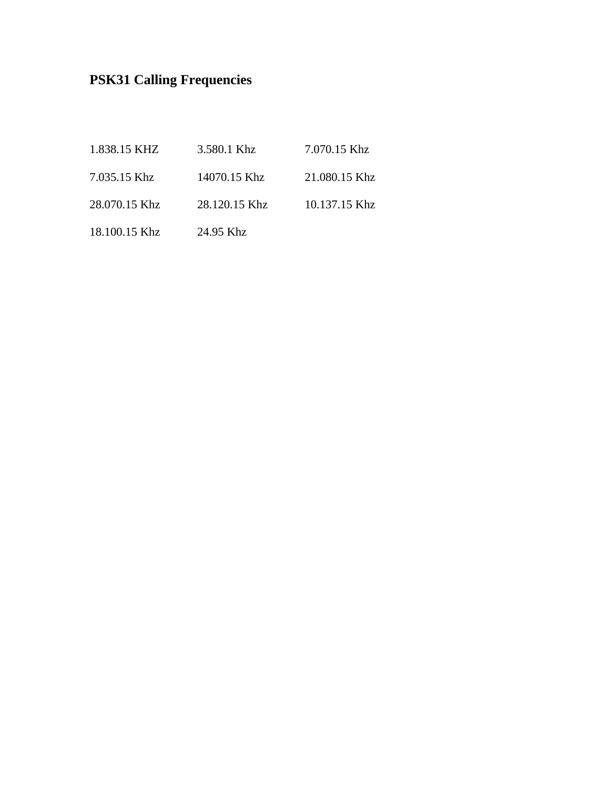# **PSK31 Calling Frequencies**

| 1.838.15 KHZ  | 3.580.1 Khz   | 7.070.15 Khz  |
|---------------|---------------|---------------|
| 7.035.15 Khz  | 14070.15 Khz  | 21.080.15 Khz |
| 28.070.15 Khz | 28.120.15 Khz | 10.137.15 Khz |
| 18.100.15 Khz | 24.95 Khz     |               |